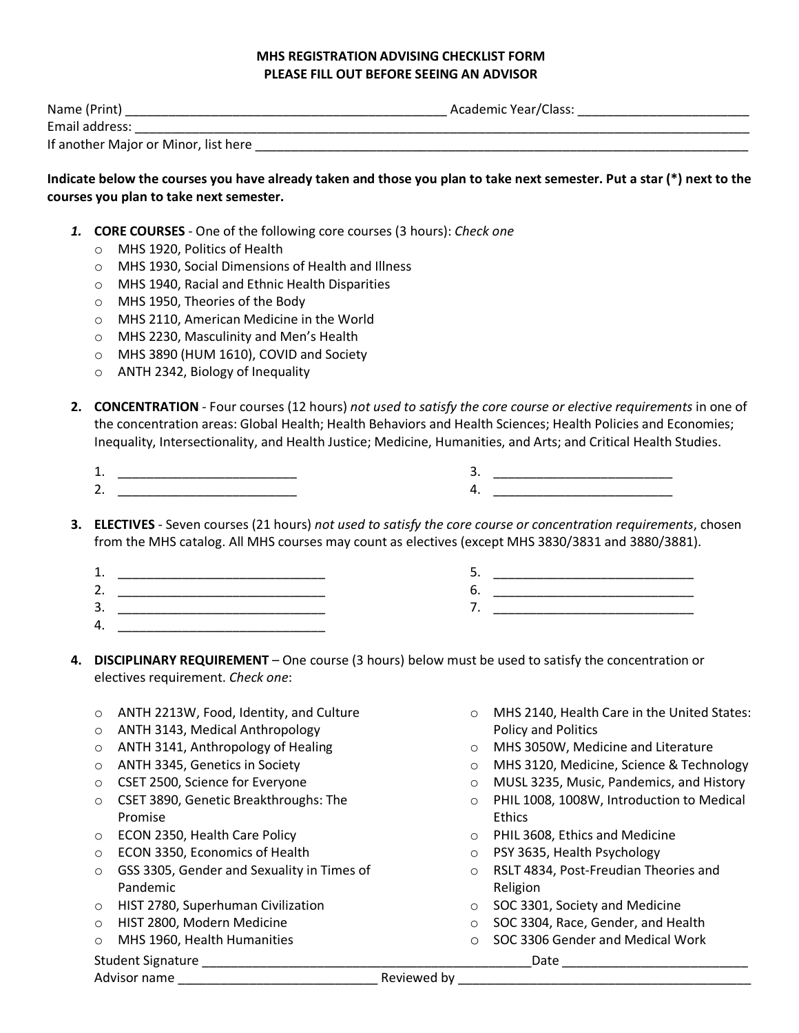## **MHS REGISTRATION ADVISING CHECKLIST FORM PLEASE FILL OUT BEFORE SEEING AN ADVISOR**

| Name (Print)                         | Academic Year/Class: |
|--------------------------------------|----------------------|
| Email address:                       |                      |
| If another Major or Minor, list here |                      |

## **Indicate below the courses you have already taken and those you plan to take next semester. Put a star (\*) next to the courses you plan to take next semester.**

- *1.* **CORE COURSES**  One of the following core courses (3 hours): *Check one*
	- o MHS 1920, Politics of Health
	- o MHS 1930, Social Dimensions of Health and Illness
	- o MHS 1940, Racial and Ethnic Health Disparities
	- o MHS 1950, Theories of the Body
	- o MHS 2110, American Medicine in the World
	- o MHS 2230, Masculinity and Men's Health
	- o MHS 3890 (HUM 1610), COVID and Society
	- o ANTH 2342, Biology of Inequality
- **2. CONCENTRATION**  Four courses (12 hours) *not used to satisfy the core course or elective requirements* in one of the concentration areas: Global Health; Health Behaviors and Health Sciences; Health Policies and Economies; Inequality, Intersectionality, and Health Justice; Medicine, Humanities, and Arts; and Critical Health Studies.
	- 1. \_\_\_\_\_\_\_\_\_\_\_\_\_\_\_\_\_\_\_\_\_\_\_\_\_ 2. \_\_\_\_\_\_\_\_\_\_\_\_\_\_\_\_\_\_\_\_\_\_\_\_\_
- 3. \_\_\_\_\_\_\_\_\_\_\_\_\_\_\_\_\_\_\_\_\_\_\_\_\_ 4. \_\_\_\_\_\_\_\_\_\_\_\_\_\_\_\_\_\_\_\_\_\_\_\_\_
- **3. ELECTIVES**  Seven courses (21 hours) *not used to satisfy the core course or concentration requirements*, chosen from the MHS catalog. All MHS courses may count as electives (except MHS 3830/3831 and 3880/3881).
	- 1. \_\_\_\_\_\_\_\_\_\_\_\_\_\_\_\_\_\_\_\_\_\_\_\_\_\_\_\_\_
	- 2. \_\_\_\_\_\_\_\_\_\_\_\_\_\_\_\_\_\_\_\_\_\_\_\_\_\_\_\_\_
	- 3. \_\_\_\_\_\_\_\_\_\_\_\_\_\_\_\_\_\_\_\_\_\_\_\_\_\_\_\_\_
	- $4.$
- 5. \_\_\_\_\_\_\_\_\_\_\_\_\_\_\_\_\_\_\_\_\_\_\_\_\_\_\_\_ 6. \_\_\_\_\_\_\_\_\_\_\_\_\_\_\_\_\_\_\_\_\_\_\_\_\_\_\_\_ 7. \_\_\_\_\_\_\_\_\_\_\_\_\_\_\_\_\_\_\_\_\_\_\_\_\_\_\_\_
- **4. DISCIPLINARY REQUIREMENT**  One course (3 hours) below must be used to satisfy the concentration or electives requirement. *Check one*:
	- o ANTH 2213W, Food, Identity, and Culture
	- o ANTH 3143, Medical Anthropology
	- o ANTH 3141, Anthropology of Healing
	- o ANTH 3345, Genetics in Society
	- o CSET 2500, Science for Everyone
	- o CSET 3890, Genetic Breakthroughs: The Promise
	- o ECON 2350, Health Care Policy
	- o ECON 3350, Economics of Health
	- o GSS 3305, Gender and Sexuality in Times of Pandemic
	- o HIST 2780, Superhuman Civilization
	- o HIST 2800, Modern Medicine
	- o MHS 1960, Health Humanities
	- Student Signature \_\_\_\_\_\_\_\_\_\_\_\_\_\_\_\_\_\_\_\_\_\_\_\_\_\_\_\_\_\_\_\_\_\_\_\_\_\_\_\_\_\_\_\_\_\_Date \_\_\_\_\_\_\_\_\_\_\_\_\_\_\_\_\_\_\_\_\_\_\_\_\_\_

Advisor name \_\_\_\_\_\_\_\_\_\_\_\_\_\_\_\_\_\_\_\_\_\_\_\_\_\_\_\_ Reviewed by \_\_\_\_\_\_\_\_\_\_\_\_\_\_\_\_\_\_\_\_\_\_\_\_\_\_\_\_\_\_\_\_\_\_\_\_\_\_\_\_\_

- o MHS 2140, Health Care in the United States: Policy and Politics
- o MHS 3050W, Medicine and Literature
- o MHS 3120, Medicine, Science & Technology
- o MUSL 3235, Music, Pandemics, and History
- o PHIL 1008, 1008W, Introduction to Medical **Ethics**
- o PHIL 3608, Ethics and Medicine
- o PSY 3635, Health Psychology
- o RSLT 4834, Post-Freudian Theories and Religion
- o SOC 3301, Society and Medicine
- o SOC 3304, Race, Gender, and Health
- o SOC 3306 Gender and Medical Work